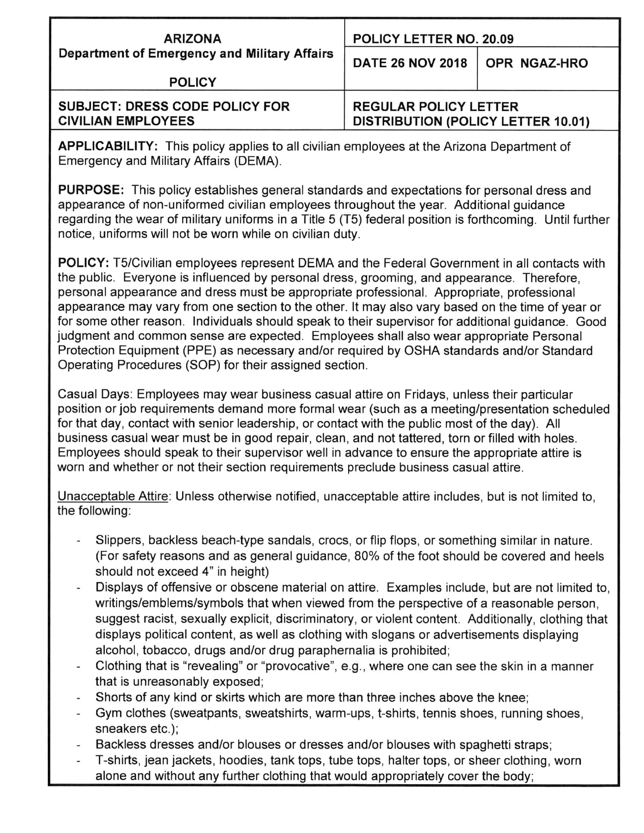| <b>ARIZONA</b><br>Department of Emergency and Military Affairs     | POLICY LETTER NO. 20.09                                                   |
|--------------------------------------------------------------------|---------------------------------------------------------------------------|
|                                                                    | DATE 26 NOV 2018   OPR NGAZ-HRO                                           |
| <b>POLICY</b>                                                      |                                                                           |
| <b>SUBJECT: DRESS CODE POLICY FOR</b><br><b>CIVILIAN EMPLOYEES</b> | <b>REGULAR POLICY LETTER</b><br><b>DISTRIBUTION (POLICY LETTER 10.01)</b> |

**APPLICABILITY:** This policy applies to all civilian employees at the Arizona Department of Emergency and Military Affairs (DEMA).

**PURPOSE:** This policy establishes general standards and expectations for personal dress and appearance of non-uniformed civilian employees throughout the year. Additional quidance regarding the wear of military uniforms in a Title 5 (T5) federal position is forthcoming. Until further notice, uniforms will not be worn while on civilian duty.

**POLICY:** T5/Civilian employees represent DEMA and the Federal Government in all contacts with the public. Everyone is influenced by personal dress, grooming, and appearance. Therefore, personal appearance and dress must be appropriate professional. Appropriate, professional appearance may vary from one section to the other. It may also vary based on the time of year or for some other reason. Individuals should speak to their supervisor for additional quidance. Good judgment and common sense are expected. Employees shall also wear appropriate Personal Protection Equipment (PPE) as necessary and/or required by OSHA standards and/or Standard Operating Procedures (SOP) for their assigned section.

Casual Days: Employees may wear business casual attire on Fridays, unless their particular position or job requirements demand more formal wear (such as a meeting/presentation scheduled for that day, contact with senior leadership, or contact with the public most of the day). All business casual wear must be in good repair, clean, and not tattered, torn or filled with holes. Employees should speak to their supervisor well in advance to ensure the appropriate attire is worn and whether or not their section requirements preclude business casual attire.

Unacceptable Attire: Unless otherwise notified, unacceptable attire includes, but is not limited to, the following:

- Slippers, backless beach-type sandals, crocs, or flip flops, or something similar in nature. (For safety reasons and as general guidance, 80% of the foot should be covered and heels should not exceed 4" in height)
- Displays of offensive or obscene material on attire. Examples include, but are not limited to, writings/emblems/symbols that when viewed from the perspective of a reasonable person. suggest racist, sexually explicit, discriminatory, or violent content. Additionally, clothing that displays political content, as well as clothing with slogans or advertisements displaying alcohol, tobacco, drugs and/or drug paraphernalia is prohibited;
- Clothing that is "revealing" or "provocative", e.g., where one can see the skin in a manner that is unreasonably exposed;
- Shorts of any kind or skirts which are more than three inches above the knee:
- Gym clothes (sweatpants, sweatshirts, warm-ups, t-shirts, tennis shoes, running shoes, sneakers etc.);
- Backless dresses and/or blouses or dresses and/or blouses with spaghetti straps;
- T-shirts, jean jackets, hoodies, tank tops, tube tops, halter tops, or sheer clothing, worn alone and without any further clothing that would appropriately cover the body;